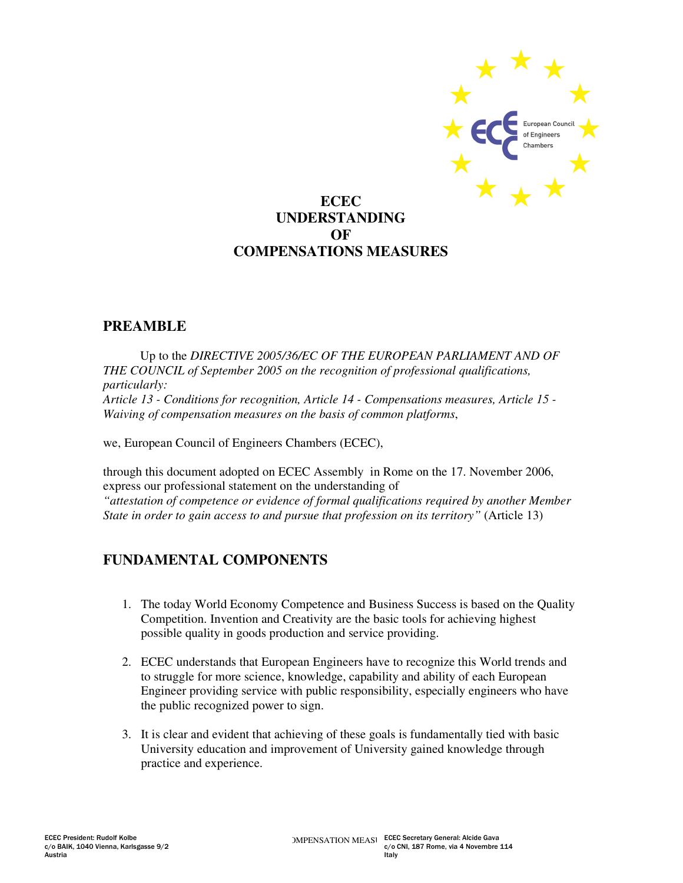

# **ECEC UNDERSTANDING OF COMPENSATIONS MEASURES**

### **PREAMBLE**

Up to the *DIRECTIVE 2005/36/EC OF THE EUROPEAN PARLIAMENT AND OF THE COUNCIL of September 2005 on the recognition of professional qualifications, particularly: Article 13 - Conditions for recognition, Article 14 - Compensations measures, Article 15 - Waiving of compensation measures on the basis of common platforms*,

we, European Council of Engineers Chambers (ECEC),

through this document adopted on ECEC Assembly in Rome on the 17. November 2006, express our professional statement on the understanding of *"attestation of competence or evidence of formal qualifications required by another Member State in order to gain access to and pursue that profession on its territory"* (Article 13)

# **FUNDAMENTAL COMPONENTS**

- 1. The today World Economy Competence and Business Success is based on the Quality Competition. Invention and Creativity are the basic tools for achieving highest possible quality in goods production and service providing.
- 2. ECEC understands that European Engineers have to recognize this World trends and to struggle for more science, knowledge, capability and ability of each European Engineer providing service with public responsibility, especially engineers who have the public recognized power to sign.
- 3. It is clear and evident that achieving of these goals is fundamentally tied with basic University education and improvement of University gained knowledge through practice and experience.